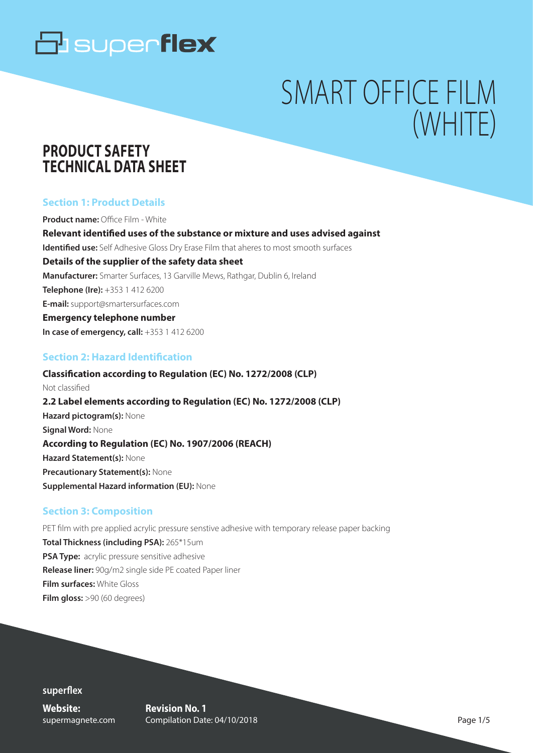# SMART OFFICE FILM (WHITE)

### **PRODUCT SAFETY TECHNICAL DATA SHEET**

#### **Section 1: Product Details**

**Product name:** Office Film - White **Relevant identified uses of the substance or mixture and uses advised against Identified use:** Self Adhesive Gloss Dry Erase Film that aheres to most smooth surfaces **Details of the supplier of the safety data sheet Manufacturer:** Smarter Surfaces, 13 Garville Mews, Rathgar, Dublin 6, Ireland **Telephone (Ire):** +353 1 412 6200 **E-mail:** support@smartersurfaces.com **Emergency telephone number In case of emergency, call:**  $+353$  1 412 6200

#### **Section 2: Hazard Identification**

**Classification according to Regulation (EC) No. 1272/2008 (CLP)** Not classified **2.2 Label elements according to Regulation (EC) No. 1272/2008 (CLP) Hazard pictogram(s):** None **Signal Word:** None **According to Regulation (EC) No. 1907/2006 (REACH) Hazard Statement(s):** None **Precautionary Statement(s):** None **Supplemental Hazard information (EU):** None

#### **Section 3: Composition**

PET film with pre applied acrylic pressure senstive adhesive with temporary release paper backing **Total Thickness (including PSA):** 265\*15um **PSA Type:** acrylic pressure sensitive adhesive **Release liner:** 90g/m2 single side PE coated Paper liner **Film surfaces:** White Gloss **Film gloss:** >90 (60 degrees)

**superflex**

**Website:** supermagnete.com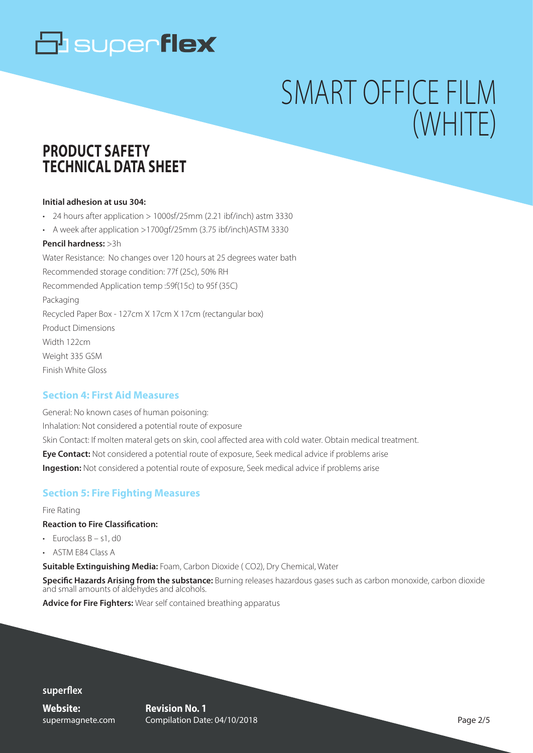# SMART OFFICE FILM (WHITE)

### **PRODUCT SAFETY TECHNICAL DATA SHEET**

#### **Initial adhesion at usu 304:**

• 24 hours after application > 1000sf/25mm (2.21 ibf/inch) astm 3330

• A week after application >1700gf/25mm (3.75 ibf/inch)ASTM 3330

#### **Pencil hardness:** >3h

Water Resistance: No changes over 120 hours at 25 degrees water bath Recommended storage condition: 77f (25c), 50% RH Recommended Application temp :59f(15c) to 95f (35C) Packaging Recycled Paper Box - 127cm X 17cm X 17cm (rectangular box) Product Dimensions Width 122cm Weight 335 GSM Finish White Gloss

#### **Section 4: First Aid Measures**

General: No known cases of human poisoning: Inhalation: Not considered a potential route of exposure Skin Contact: If molten materal gets on skin, cool affected area with cold water. Obtain medical treatment. **Eye Contact:** Not considered a potential route of exposure, Seek medical advice if problems arise **Ingestion:** Not considered a potential route of exposure, Seek medical advice if problems arise

#### **Section 5: Fire Fighting Measures**

#### Fire Rating

#### **Reaction to Fire Classification:**

- $\cdot$  Furoclass  $B 51$ , d0
- ASTM E84 Class A

**Suitable Extinguishing Media:** Foam, Carbon Dioxide ( CO2), Dry Chemical, Water

**Specific Hazards Arising from the substance:** Burning releases hazardous gases such as carbon monoxide, carbon dioxide and small amounts of aldehydes and alcohols.

**Advice for Fire Fighters:** Wear self contained breathing apparatus

#### **superflex**

**Website:** supermagnete.com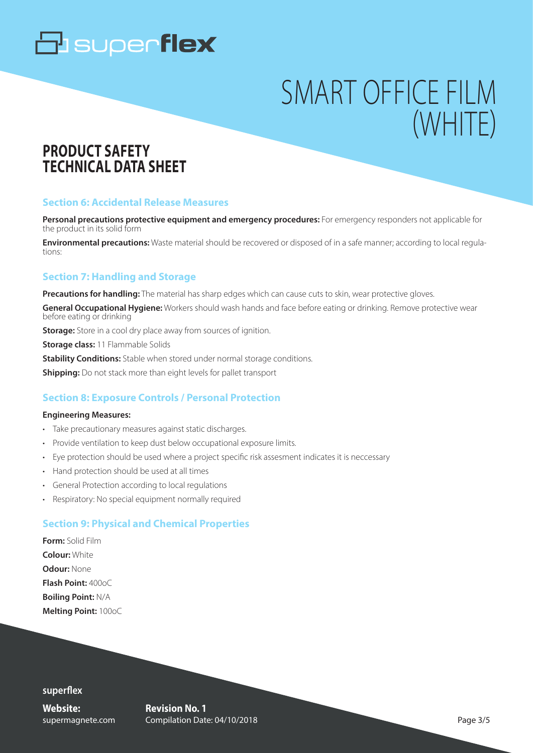# SMART OFFICE FILM (WHITE)

### **PRODUCT SAFETY TECHNICAL DATA SHEET**

#### **Section 6: Accidental Release Measures**

**Personal precautions protective equipment and emergency procedures:** For emergency responders not applicable for the product in its solid form

**Environmental precautions:** Waste material should be recovered or disposed of in a safe manner; according to local regulations:

#### **Section 7: Handling and Storage**

**Precautions for handling:** The material has sharp edges which can cause cuts to skin, wear protective gloves.

**General Occupational Hygiene:** Workers should wash hands and face before eating or drinking. Remove protective wear before eating or drinking

**Storage:** Store in a cool dry place away from sources of ignition.

**Storage class:** 11 Flammable Solids

**Stability Conditions:** Stable when stored under normal storage conditions.

**Shipping:** Do not stack more than eight levels for pallet transport

#### **Section 8: Exposure Controls / Personal Protection**

#### **Engineering Measures:**

- Take precautionary measures against static discharges.
- Provide ventilation to keep dust below occupational exposure limits.
- Eye protection should be used where a project specific risk assesment indicates it is neccessary
- Hand protection should be used at all times
- General Protection according to local regulations
- Respiratory: No special equipment normally required

#### **Section 9: Physical and Chemical Properties**

**Form:** Solid Film **Colour:** White **Odour:** None **Flash Point:** 400oC **Boiling Point:** N/A **Melting Point:** 100oC

**superflex**

**Website:** supermagnete.com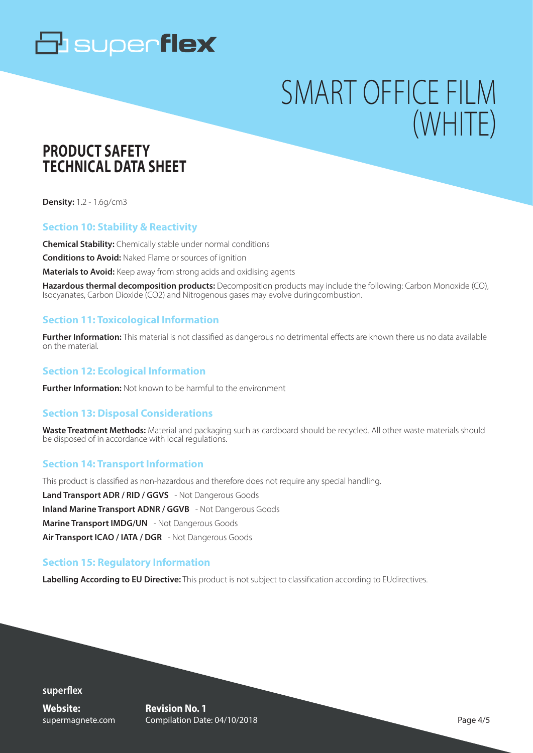# SMART OFFICE FILM (WHITE)

### **PRODUCT SAFETY TECHNICAL DATA SHEET**

**Density:** 1.2 - 1.6g/cm3

#### **Section 10: Stability & Reactivity**

**Chemical Stability:** Chemically stable under normal conditions

**Conditions to Avoid:** Naked Flame or sources of ignition

**Materials to Avoid:** Keep away from strong acids and oxidising agents

**Hazardous thermal decomposition products:** Decomposition products may include the following: Carbon Monoxide (CO), Isocyanates, Carbon Dioxide (CO2) and Nitrogenous gases may evolve duringcombustion.

#### **Section 11: Toxicological Information**

**Further Information:** This material is not classified as dangerous no detrimental effects are known there us no data available on the material.

#### **Section 12: Ecological Information**

**Further Information:** Not known to be harmful to the environment

#### **Section 13: Disposal Considerations**

**Waste Treatment Methods:** Material and packaging such as cardboard should be recycled. All other waste materials should be disposed of in accordance with local regulations.

#### **Section 14: Transport Information**

This product is classified as non-hazardous and therefore does not require any special handling. **Land Transport ADR / RID / GGVS** - Not Dangerous Goods **Inland Marine Transport ADNR / GGVB** - Not Dangerous Goods **Marine Transport IMDG/UN** - Not Dangerous Goods **Air Transport ICAO / IATA / DGR** - Not Dangerous Goods

#### **Section 15: Regulatory Information**

**Labelling According to EU Directive:** This product is not subject to classification according to EUdirectives.

**superflex Website:**

supermagnete.com